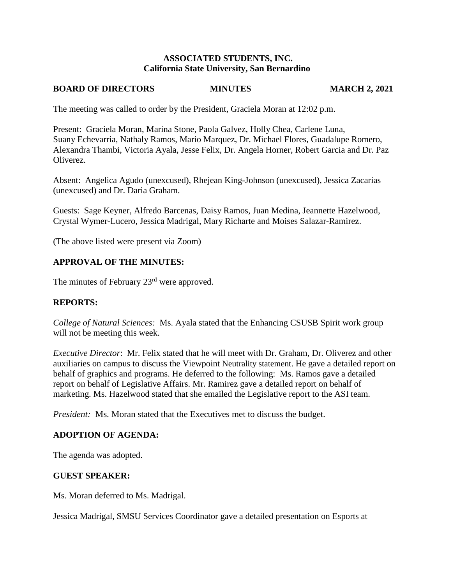### **ASSOCIATED STUDENTS, INC. California State University, San Bernardino**

### **BOARD OF DIRECTORS MINUTES MARCH 2, 2021**

The meeting was called to order by the President, Graciela Moran at 12:02 p.m.

Present: Graciela Moran, Marina Stone, Paola Galvez, Holly Chea, Carlene Luna, Suany Echevarria, Nathaly Ramos, Mario Marquez, Dr. Michael Flores, Guadalupe Romero, Alexandra Thambi, Victoria Ayala, Jesse Felix, Dr. Angela Horner, Robert Garcia and Dr. Paz Oliverez.

Absent: Angelica Agudo (unexcused), Rhejean King-Johnson (unexcused), Jessica Zacarias (unexcused) and Dr. Daria Graham.

Guests: Sage Keyner, Alfredo Barcenas, Daisy Ramos, Juan Medina, Jeannette Hazelwood, Crystal Wymer-Lucero, Jessica Madrigal, Mary Richarte and Moises Salazar-Ramirez.

(The above listed were present via Zoom)

## **APPROVAL OF THE MINUTES:**

The minutes of February 23<sup>rd</sup> were approved.

### **REPORTS:**

*College of Natural Sciences:* Ms. Ayala stated that the Enhancing CSUSB Spirit work group will not be meeting this week.

*Executive Director*: Mr. Felix stated that he will meet with Dr. Graham, Dr. Oliverez and other auxiliaries on campus to discuss the Viewpoint Neutrality statement. He gave a detailed report on behalf of graphics and programs. He deferred to the following: Ms. Ramos gave a detailed report on behalf of Legislative Affairs. Mr. Ramirez gave a detailed report on behalf of marketing. Ms. Hazelwood stated that she emailed the Legislative report to the ASI team.

*President:* Ms. Moran stated that the Executives met to discuss the budget.

### **ADOPTION OF AGENDA:**

The agenda was adopted.

### **GUEST SPEAKER:**

Ms. Moran deferred to Ms. Madrigal.

Jessica Madrigal, SMSU Services Coordinator gave a detailed presentation on Esports at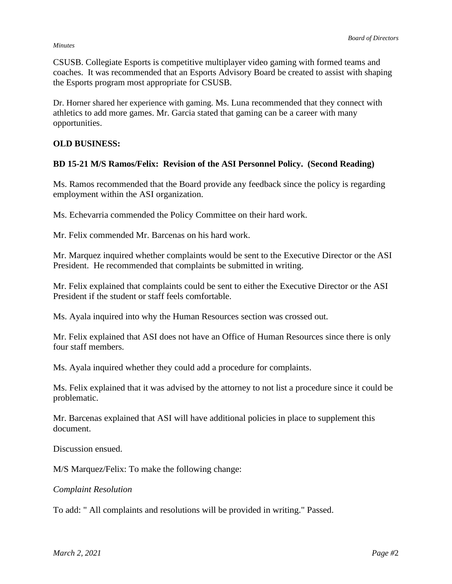#### *Minutes*

CSUSB. Collegiate Esports is competitive multiplayer video gaming with formed teams and coaches. It was recommended that an Esports Advisory Board be created to assist with shaping the Esports program most appropriate for CSUSB.

Dr. Horner shared her experience with gaming. Ms. Luna recommended that they connect with athletics to add more games. Mr. Garcia stated that gaming can be a career with many opportunities.

### **OLD BUSINESS:**

### **BD 15-21 M/S Ramos/Felix: Revision of the ASI Personnel Policy. (Second Reading)**

Ms. Ramos recommended that the Board provide any feedback since the policy is regarding employment within the ASI organization.

Ms. Echevarria commended the Policy Committee on their hard work.

Mr. Felix commended Mr. Barcenas on his hard work.

Mr. Marquez inquired whether complaints would be sent to the Executive Director or the ASI President. He recommended that complaints be submitted in writing.

Mr. Felix explained that complaints could be sent to either the Executive Director or the ASI President if the student or staff feels comfortable.

Ms. Ayala inquired into why the Human Resources section was crossed out.

Mr. Felix explained that ASI does not have an Office of Human Resources since there is only four staff members.

Ms. Ayala inquired whether they could add a procedure for complaints.

Ms. Felix explained that it was advised by the attorney to not list a procedure since it could be problematic.

Mr. Barcenas explained that ASI will have additional policies in place to supplement this document.

Discussion ensued.

M/S Marquez/Felix: To make the following change:

### *Complaint Resolution*

To add: " All complaints and resolutions will be provided in writing." Passed.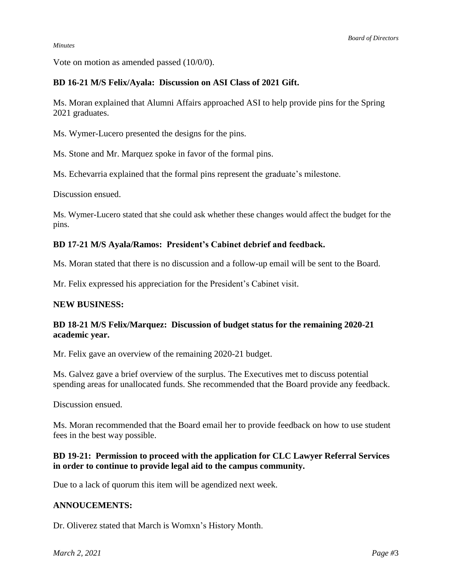*Minutes*

Vote on motion as amended passed (10/0/0).

## **BD 16-21 M/S Felix/Ayala: Discussion on ASI Class of 2021 Gift.**

Ms. Moran explained that Alumni Affairs approached ASI to help provide pins for the Spring 2021 graduates.

Ms. Wymer-Lucero presented the designs for the pins.

Ms. Stone and Mr. Marquez spoke in favor of the formal pins.

Ms. Echevarria explained that the formal pins represent the graduate's milestone.

Discussion ensued.

Ms. Wymer-Lucero stated that she could ask whether these changes would affect the budget for the pins.

### **BD 17-21 M/S Ayala/Ramos: President's Cabinet debrief and feedback.**

Ms. Moran stated that there is no discussion and a follow-up email will be sent to the Board.

Mr. Felix expressed his appreciation for the President's Cabinet visit.

### **NEW BUSINESS:**

### **BD 18-21 M/S Felix/Marquez: Discussion of budget status for the remaining 2020-21 academic year.**

Mr. Felix gave an overview of the remaining 2020-21 budget.

Ms. Galvez gave a brief overview of the surplus. The Executives met to discuss potential spending areas for unallocated funds. She recommended that the Board provide any feedback.

Discussion ensued.

Ms. Moran recommended that the Board email her to provide feedback on how to use student fees in the best way possible.

## **BD 19-21: Permission to proceed with the application for CLC Lawyer Referral Services in order to continue to provide legal aid to the campus community.**

Due to a lack of quorum this item will be agendized next week.

### **ANNOUCEMENTS:**

Dr. Oliverez stated that March is Womxn's History Month.